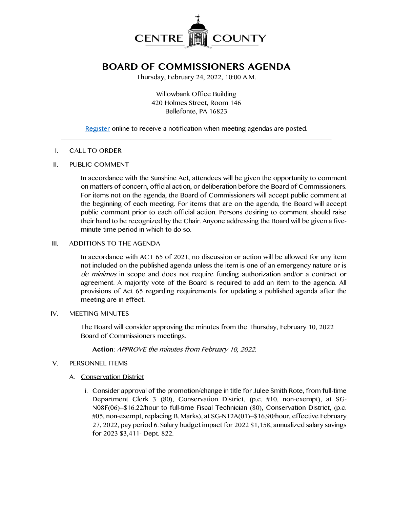

# **BOARD OF COMMISSIONERS AGENDA**

Thursday, February 24, 2022, 10:00 A.M.

Willowbank Office Building 420 Holmes Street, Room 146 Bellefonte, PA 16823

[Register](http://www.centrecountypa.gov/AgendaCenter) online to receive a notification when meeting agendas are posted.  $\mathcal{L} = \{ \mathcal{L} = \{ \mathcal{L} \mid \mathcal{L} = \{ \mathcal{L} \mid \mathcal{L} = \{ \mathcal{L} \mid \mathcal{L} = \{ \mathcal{L} \mid \mathcal{L} = \{ \mathcal{L} \mid \mathcal{L} = \{ \mathcal{L} \mid \mathcal{L} = \{ \mathcal{L} \mid \mathcal{L} = \{ \mathcal{L} \mid \mathcal{L} = \{ \mathcal{L} \mid \mathcal{L} = \{ \mathcal{L} \mid \mathcal{L} = \{ \mathcal{L} \mid \mathcal{L} = \{ \mathcal{L} \mid \mathcal{L} =$ 

#### I. CALL TO ORDER

#### II. PUBLIC COMMENT

In accordance with the Sunshine Act, attendees will be given the opportunity to comment on matters of concern, official action, or deliberation before the Board of Commissioners. For items not on the agenda, the Board of Commissioners will accept public comment at the beginning of each meeting. For items that are on the agenda, the Board will accept public comment prior to each official action. Persons desiring to comment should raise their hand to be recognized by the Chair. Anyone addressing the Board will be given a fiveminute time period in which to do so.

## III. ADDITIONS TO THE AGENDA

In accordance with ACT 65 of 2021, no discussion or action will be allowed for any item not included on the published agenda unless the item is one of an emergency nature or is de minimus in scope and does not require funding authorization and/or a contract or agreement. A majority vote of the Board is required to add an item to the agenda. All provisions of Act 65 regarding requirements for updating a published agenda after the meeting are in effect.

#### IV. MEETING MINUTES

The Board will consider approving the minutes from the Thursday, February 10, 2022 Board of Commissioners meetings.

**Action**: APPROVE the minutes from February 10, 2022.

## V. PERSONNEL ITEMS

## A. Conservation District

i. Consider approval of the promotion/change in title for Julee Smith Rote, from full-time Department Clerk 3 (80), Conservation District, (p.c. #10, non-exempt), at SG-N08F(06)--\$16.22/hour to full-time Fiscal Technician (80), Conservation District, (p.c. #05, non-exempt, replacing B. Marks), at SG-N12A(01)--\$16.90/hour, effective February 27, 2022, pay period 6. Salary budget impact for 2022 \$1,158, annualized salary savings for 2023 \$3,411- Dept. 822.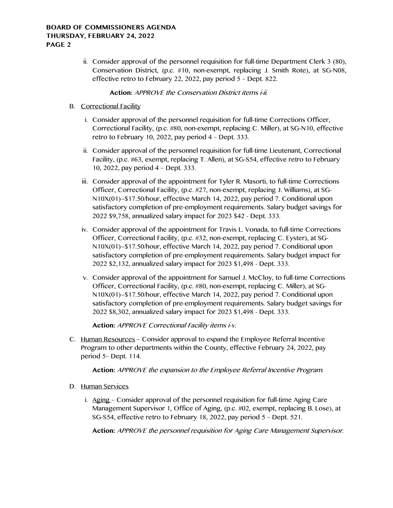### **BOARD OF COMMISSIONERS AGENDA THURSDAY, FEBRUARY 24, 2022 PAGE 2**

ii. Consider approval of the personnel requisition for full-time Department Clerk 3 (80), Conservation District, (p.c. #10, non-exempt, replacing J. Smith Rote), at SG-N08, effective retro to February 22, 2022, pay period 5 – Dept. 822.

## **Action:** APPROVE the Conservation District items i-ii.

- B. Correctional Facility
	- i. Consider approval of the personnel requisition for full-time Corrections Officer, Correctional Facility, (p.c. #80, non-exempt, replacing C. Miller), at SG-N10, effective retro to February 10, 2022, pay period 4 – Dept. 333.
	- ii. Consider approval of the personnel requisition for full-time Lieutenant, Correctional Facility, (p.c. #63, exempt, replacing T. Allen), at SG-S54, effective retro to February 10, 2022, pay period 4 – Dept. 333.
	- iii. Consider approval of the appointment for Tyler R. Masorti, to full-time Corrections Officer, Correctional Facility, (p.c. #27, non-exempt, replacing J. Williams), at SG-N10X(01)--\$17.50/hour, effective March 14, 2022, pay period 7. Conditional upon satisfactory completion of pre-employment requirements. Salary budget savings for 2022 \$9,758, annualized salary impact for 2023 \$42 - Dept. 333.
	- iv. Consider approval of the appointment for Travis L. Vonada, to full-time Corrections Officer, Correctional Facility, (p.c. #32, non-exempt, replacing C. Eyster), at SG-N10X(01)--\$17.50/hour, effective March 14, 2022, pay period 7. Conditional upon satisfactory completion of pre-employment requirements. Salary budget impact for 2022 \$2,132, annualized salary impact for 2023 \$1,498 - Dept. 333.
	- v. Consider approval of the appointment for Samuel J. McCloy, to full-time Corrections Officer, Correctional Facility, (p.c. #80, non-exempt, replacing C. Miller), at SG-N10X(01)--\$17.50/hour, effective March 14, 2022, pay period 7. Conditional upon satisfactory completion of pre-employment requirements. Salary budget savings for 2022 \$8,302, annualized salary impact for 2023 \$1,498 - Dept. 333.

**Action:** APPROVE Correctional Facility items i-v.

C. Human Resources – Consider approval to expand the Employee Referral Incentive Program to other departments within the County, effective February 24, 2022, pay period 5– Dept. 114.

**Action:** APPROVE the expansion to the Employee Referral Incentive Program.

- D. Human Services
	- i. Aging Consider approval of the personnel requisition for full-time Aging Care Management Supervisor 1, Office of Aging, (p.c. #02, exempt, replacing B. Lose), at SG-S54, effective retro to February 18, 2022, pay period 5 – Dept. 521.

**Action:** APPROVE the personnel requisition for Aging Care Management Supervisor.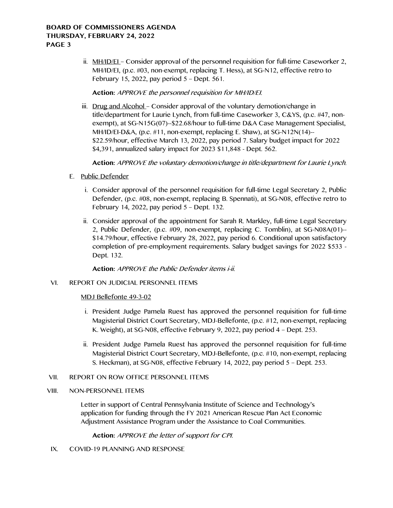ii. MH/ID/EL-Consider approval of the personnel requisition for full-time Caseworker 2, MH/ID/EI, (p.c. #03, non-exempt, replacing T. Hess), at SG-N12, effective retro to February 15, 2022, pay period 5 – Dept. 561.

**Action:** APPROVE the personnel requisition for MH/ID/EI.

iii. Drug and Alcohol - Consider approval of the voluntary demotion/change in title/department for Laurie Lynch, from full-time Caseworker 3, C&YS, (p.c. #47, nonexempt), at SG-N15G(07)--\$22.68/hour to full-time D&A Case Management Specialist, MH/ID/EI-D&A, (p.c. #11, non-exempt, replacing E. Shaw), at SG-N12N(14)-- \$22.59/hour, effective March 13, 2022, pay period 7. Salary budget impact for 2022 \$4,391, annualized salary impact for 2023 \$11,848 - Dept. 562.

**Action:** APPROVE the voluntary demotion/change in title/department for Laurie Lynch.

- E. Public Defender
	- i. Consider approval of the personnel requisition for full-time Legal Secretary 2, Public Defender, (p.c. #08, non-exempt, replacing B. Spennati), at SG-N08, effective retro to February 14, 2022, pay period 5 – Dept. 132.
	- ii. Consider approval of the appointment for Sarah R. Markley, full-time Legal Secretary 2, Public Defender, (p.c. #09, non-exempt, replacing C. Tomblin), at SG-N08A(01)-- \$14.79/hour, effective February 28, 2022, pay period 6. Conditional upon satisfactory completion of pre-employment requirements. Salary budget savings for 2022 \$533 - Dept. 132.

**Action:** APPROVE the Public Defender items i-ii.

#### VI. REPORT ON JUDICIAL PERSONNEL ITEMS

#### MDJ Bellefonte 49-3-02

- i. President Judge Pamela Ruest has approved the personnel requisition for full-time Magisterial District Court Secretary, MDJ-Bellefonte, (p.c. #12, non-exempt, replacing K. Weight), at SG-N08, effective February 9, 2022, pay period 4 – Dept. 253.
- ii. President Judge Pamela Ruest has approved the personnel requisition for full-time Magisterial District Court Secretary, MDJ-Bellefonte, (p.c. #10, non-exempt, replacing S. Heckman), at SG-N08, effective February 14, 2022, pay period 5 – Dept. 253.

#### VII. REPORT ON ROW OFFICE PERSONNEL ITEMS

#### VIII. NON-PERSONNEL ITEMS

Letter in support of Central Pennsylvania Institute of Science and Technology's application for funding through the FY 2021 American Rescue Plan Act Economic Adjustment Assistance Program under the Assistance to Coal Communities.

**Action:** APPROVE the letter of support for CPI.

IX. COVID-19 PLANNING AND RESPONSE